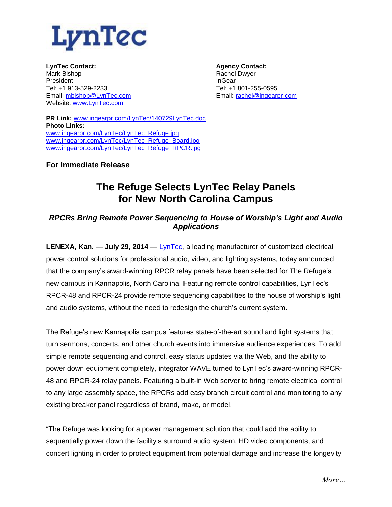

**LynTec Contact:** Mark Bishop President Tel: +1 913-529-2233 Email: [mbishop@LynTec.com](mailto:mbishop@LynTec.com) Website: [www.LynTec.com](http://www.lyntec.com/)

**Agency Contact:** Rachel Dwyer InGear Tel: +1 801-255-0595 Email: [rachel@ingearpr.com](mailto:rachel@ingearpr.com)

**PR Link:** [www.ingearpr.com/LynTec/140729LynTec.doc](http://www.ingearpr.com/LynTec/140729LynTec.doc) **Photo Links:** [www.ingearpr.com/LynTec/LynTec\\_Refuge.jpg](http://www.ingearpr.com/LynTec/LynTec_Refuge.jpg) [www.ingearpr.com/LynTec/LynTec\\_Refuge\\_Board.jpg](http://www.ingearpr.com/LynTec/LynTec_Refuge_Board.jpg) [www.ingearpr.com/LynTec/LynTec\\_Refuge\\_RPCR.jpg](http://www.ingearpr.com/LynTec/LynTec_Refuge_RPCR.jpg)

**For Immediate Release** 

## **The Refuge Selects LynTec Relay Panels for New North Carolina Campus**

## *RPCRs Bring Remote Power Sequencing to House of Worship's Light and Audio Applications*

**LENEXA, Kan.** — **July 29, 2014** — [LynTec,](http://www.lyntec.com/) a leading manufacturer of customized electrical power control solutions for professional audio, video, and lighting systems, today announced that the company's award-winning RPCR relay panels have been selected for The Refuge's new campus in Kannapolis, North Carolina. Featuring remote control capabilities, LynTec's RPCR-48 and RPCR-24 provide remote sequencing capabilities to the house of worship's light and audio systems, without the need to redesign the church's current system.

The Refuge's new Kannapolis campus features state-of-the-art sound and light systems that turn sermons, concerts, and other church events into immersive audience experiences. To add simple remote sequencing and control, easy status updates via the Web, and the ability to power down equipment completely, integrator WAVE turned to LynTec's award-winning RPCR-48 and RPCR-24 relay panels. Featuring a built-in Web server to bring remote electrical control to any large assembly space, the RPCRs add easy branch circuit control and monitoring to any existing breaker panel regardless of brand, make, or model.

"The Refuge was looking for a power management solution that could add the ability to sequentially power down the facility's surround audio system, HD video components, and concert lighting in order to protect equipment from potential damage and increase the longevity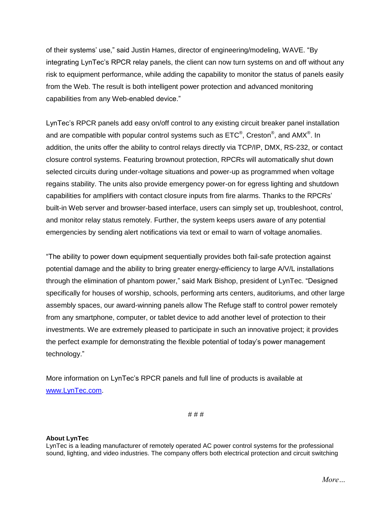of their systems' use," said Justin Hames, director of engineering/modeling, WAVE. "By integrating LynTec's RPCR relay panels, the client can now turn systems on and off without any risk to equipment performance, while adding the capability to monitor the status of panels easily from the Web. The result is both intelligent power protection and advanced monitoring capabilities from any Web-enabled device."

LynTec's RPCR panels add easy on/off control to any existing circuit breaker panel installation and are compatible with popular control systems such as  $\mathsf{ETC}^\circledast$ , Creston $^\circledast$ , and AMX $^\circledast$ . In addition, the units offer the ability to control relays directly via TCP/IP, DMX, RS-232, or contact closure control systems. Featuring brownout protection, RPCRs will automatically shut down selected circuits during under-voltage situations and power-up as programmed when voltage regains stability. The units also provide emergency power-on for egress lighting and shutdown capabilities for amplifiers with contact closure inputs from fire alarms. Thanks to the RPCRs' built-in Web server and browser-based interface, users can simply set up, troubleshoot, control, and monitor relay status remotely. Further, the system keeps users aware of any potential emergencies by sending alert notifications via text or email to warn of voltage anomalies.

"The ability to power down equipment sequentially provides both fail-safe protection against potential damage and the ability to bring greater energy-efficiency to large A/V/L installations through the elimination of phantom power," said Mark Bishop, president of LynTec. "Designed specifically for houses of worship, schools, performing arts centers, auditoriums, and other large assembly spaces, our award-winning panels allow The Refuge staff to control power remotely from any smartphone, computer, or tablet device to add another level of protection to their investments. We are extremely pleased to participate in such an innovative project; it provides the perfect example for demonstrating the flexible potential of today's power management technology."

More information on LynTec's RPCR panels and full line of products is available at [www.LynTec.com.](http://www.lyntec.com/)

# # #

## **About LynTec**

LynTec is a leading manufacturer of remotely operated AC power control systems for the professional sound, lighting, and video industries. The company offers both electrical protection and circuit switching